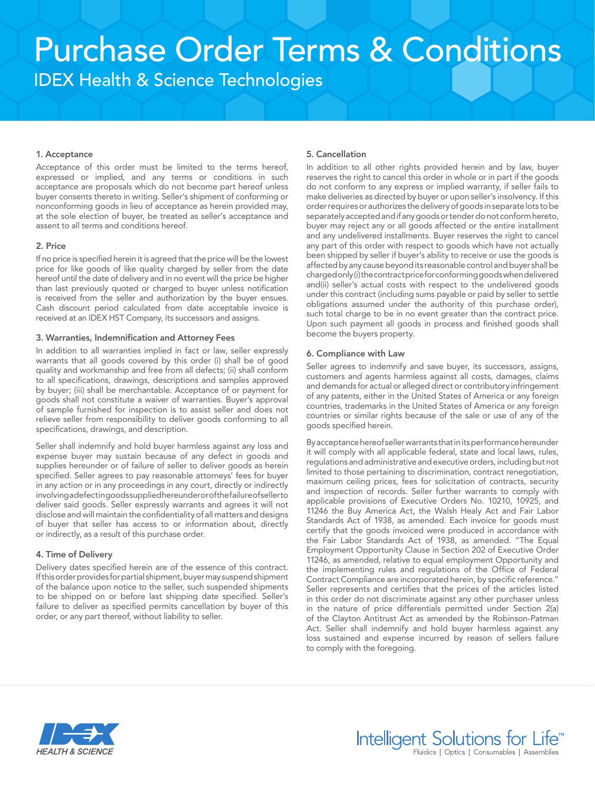# Purchase Order Terms & Conditions IDEX Health & Science Technologies

# 1. Acceptance

Acceptance of this order must be limited to the terms hereof, expressed or implied, and any terms or conditions in such acceptance are proposals which do not become part hereof unless buyer consents thereto in writing. Seller's shipment of conforming or nonconforming goods in lieu of acceptance as herein provided may, at the sole election of buyer, be treated as seller's acceptance and assent to all terms and conditions hereof.

# 2. Price

If no price is specified herein it is agreed that the price will be the lowest price for like goods of like quality charged by seller from the date hereof until the date of delivery and in no event will the price be higher than last previously quoted or charged to buyer unless notification is received from the seller and authorization by the buyer ensues. Cash discount period calculated from date acceptable invoice is received at an IDEX HST Company, its successors and assigns.

# 3. Warranties, Indemnification and Attorney Fees

In addition to all warranties implied in fact or law, seller expressly warrants that all goods covered by this order (i) shall be of good quality and workmanship and free from all defects; (ii) shall conform to all specifications, drawings, descriptions and samples approved by buyer; (iii) shall be merchantable. Acceptance of or payment for goods shall not constitute a waiver of warranties. Buyer's approval of sample furnished for inspection is to assist seller and does not relieve seller from responsibility to deliver goods conforming to all specifications, drawings, and description.

Seller shall indemnify and hold buyer harmless against any loss and expense buyer may sustain because of any defect in goods and supplies hereunder or of failure of seller to deliver goods as herein specified. Seller agrees to pay reasonable attorneys' fees for buyer in any action or in any proceedings in any court, directly or indirectly involving a defect in goods supplied hereunder or of the failure of seller to deliver said goods. Seller expressly warrants and agrees it will not disclose and will maintain the confidentiality of all matters and designs of buyer that seller has access to or information about, directly or indirectly, as a result of this purchase order.

#### 4. Time of Delivery

Delivery dates specified herein are of the essence of this contract. If this order provides for partial shipment, buyer may suspend shipment of the balance upon notice to the seller, such suspended shipments to be shipped on or before last shipping date specified. Seller's failure to deliver as specified permits cancellation by buyer of this order, or any part thereof, without liability to seller.

# 5. Cancellation

In addition to all other rights provided herein and by law, buyer reserves the right to cancel this order in whole or in part if the goods do not conform to any express or implied warranty, if seller fails to make deliveries as directed by buyer or upon seller's insolvency. If this order requires or authorizes the delivery of goods in separate lots to be separately accepted and if any goods or tender do not conform hereto, buyer may reject any or all goods affected or the entire installment and any undelivered installments. Buyer reserves the right to cancel any part of this order with respect to goods which have not actually been shipped by seller if buyer's ability to receive or use the goods is affected by any cause beyond its reasonable control and buyer shall be charged only (i) the contract price for conforming goods when delivered and(ii) seller's actual costs with respect to the undelivered goods under this contract (including sums payable or paid by seller to settle obligations assumed under the authority of this purchase order), such total charge to be in no event greater than the contract price. Upon such payment all goods in process and finished goods shall become the buyers property.

#### 6. Compliance with Law

Seller agrees to indemnify and save buyer, its successors, assigns, customers and agents harmless against all costs, damages, claims and demands for actual or alleged direct or contributory infringement of any patents, either in the United States of America or any foreign countries, trademarks in the United States of America or any foreign countries or similar rights because of the sale or use of any of the goods specified herein.

By acceptance hereof seller warrants that in its performance hereunder it will comply with all applicable federal, state and local laws, rules, regulations and administrative and executive orders, including but not limited to those pertaining to discrimination, contract renegotiation, maximum ceiling prices, fees for solicitation of contracts, security and inspection of records. Seller further warrants to comply with applicable provisions of Executive Orders No. 10210, 10925, and 11246 the Buy America Act, the Walsh Healy Act and Fair Labor Standards Act of 1938, as amended. Each invoice for goods must certify that the goods invoiced were produced in accordance with the Fair Labor Standards Act of 1938, as amended. "The Equal Employment Opportunity Clause in Section 202 of Executive Order 11246, as amended, relative to equal employment Opportunity and the implementing rules and regulations of the Office of Federal Contract Compliance are incorporated herein, by specific reference." Seller represents and certifies that the prices of the articles listed in this order do not discriminate against any other purchaser unless in the nature of price differentials permitted under Section 2(a) of the Clayton Antitrust Act as amended by the Robinson-Patman Act. Seller shall indemnify and hold buyer harmless against any loss sustained and expense incurred by reason of sellers failure to comply with the foregoing.